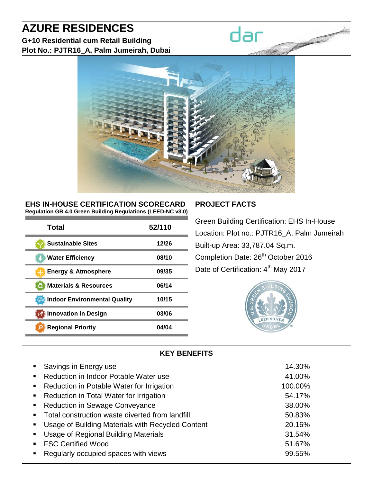# **AZURE RESIDENCES**

**G+10 Residential cum Retail Building Plot No.: PJTR16\_A, Palm Jumeirah, Dubai**



#### **EHS IN-HOUSE CERTIFICATION SCORECARD Regulation GB 4.0 Green Building Regulations (LEED-NC v3.0)**

| Total                               | 52/110 |
|-------------------------------------|--------|
| <b>Sustainable Sites</b>            | 12/26  |
| <b>Water Efficiency</b>             | 08/10  |
| Energy & Atmosphere                 | 09/35  |
| <b>Materials &amp; Resources</b>    | 06/14  |
| <b>Indoor Environmental Quality</b> | 10/15  |
| <b>Innovation in Design</b><br>M    | 03/06  |
| <b>Regional Priority</b>            | 04/04  |

#### **PROJECT FACTS**

dar

Green Building Certification: EHS In-House Location: Plot no.: PJTR16\_A, Palm Jumeirah Built-up Area: 33,787.04 Sq.m. Completion Date: 26<sup>th</sup> October 2016 Date of Certification: 4<sup>th</sup> May 2017



#### **KEY BENEFITS**

| • Savings in Energy use                             | 14.30%  |
|-----------------------------------------------------|---------|
| • Reduction in Indoor Potable Water use             | 41.00%  |
| • Reduction in Potable Water for Irrigation         | 100.00% |
| • Reduction in Total Water for Irrigation           | 54.17%  |
| • Reduction in Sewage Conveyance                    | 38.00%  |
| • Total construction waste diverted from landfill   | 50.83%  |
| • Usage of Building Materials with Recycled Content | 20.16%  |
| • Usage of Regional Building Materials              | 31.54%  |
| ■ FSC Certified Wood                                | 51.67%  |
| Regularly occupied spaces with views                | 99.55%  |